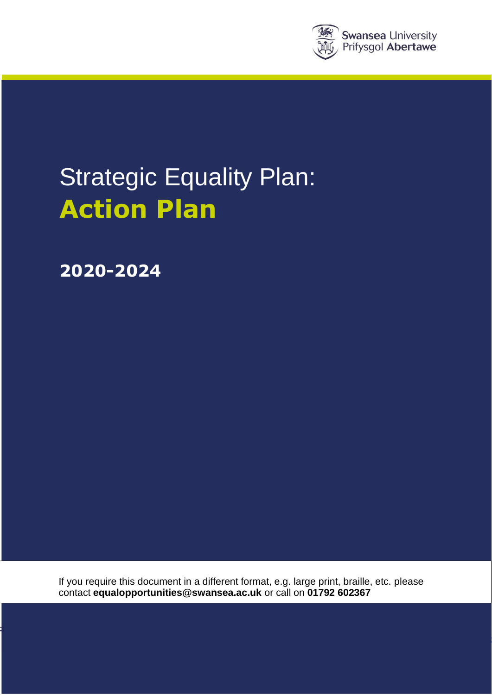

# Strategic Equality Plan: **Action Plan**

**2020-2024**

If you require this document in a different format, e.g. large print, braille, etc. please contact **[equalopportunities@swansea.ac.uk](mailto:equalopportunities@swansea.ac.uk)** or call on **01792 602367**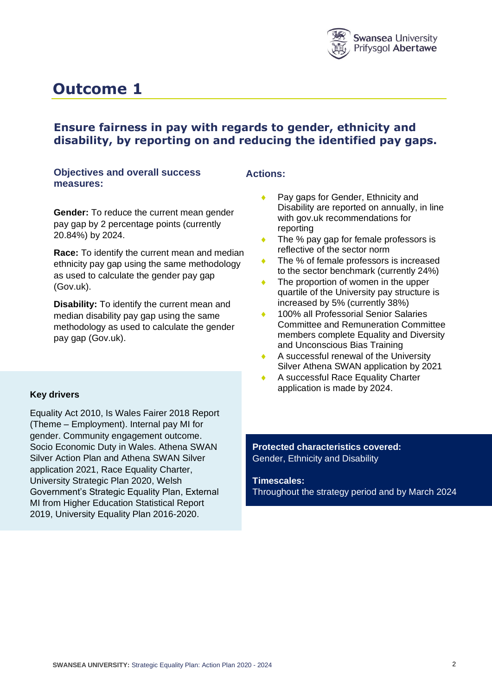

### **Ensure fairness in pay with regards to gender, ethnicity and disability, by reporting on and reducing the identified pay gaps.**

#### **Objectives and overall success measures:**

**Gender:** To reduce the current mean gender pay gap by 2 percentage points (currently 20.84%) by 2024.

**Race:** To identify the current mean and median ethnicity pay gap using the same methodology as used to calculate the gender pay gap (Gov.uk).

**Disability:** To identify the current mean and median disability pay gap using the same methodology as used to calculate the gender pay gap (Gov.uk).

#### **Key drivers**

Equality Act 2010, Is Wales Fairer 2018 Report (Theme – Employment). Internal pay MI for gender. Community engagement outcome. Socio Economic Duty in Wales. Athena SWAN Silver Action Plan and Athena SWAN Silver application 2021, Race Equality Charter, University Strategic Plan 2020, Welsh Government's Strategic Equality Plan, External MI from Higher Education Statistical Report 2019, University Equality Plan 2016-2020.

#### **Actions:**

- Pay gaps for Gender, Ethnicity and Disability are reported on annually, in line with gov.uk recommendations for reporting
- The % pay gap for female professors is reflective of the sector norm
- The % of female professors is increased to the sector benchmark (currently 24%)
- The proportion of women in the upper quartile of the University pay structure is increased by 5% (currently 38%)
- 100% all Professorial Senior Salaries Committee and Remuneration Committee members complete Equality and Diversity and Unconscious Bias Training
- A successful renewal of the University Silver Athena SWAN application by 2021
- A successful Race Equality Charter application is made by 2024.

**Protected characteristics covered:** Gender, Ethnicity and Disability

**Timescales:**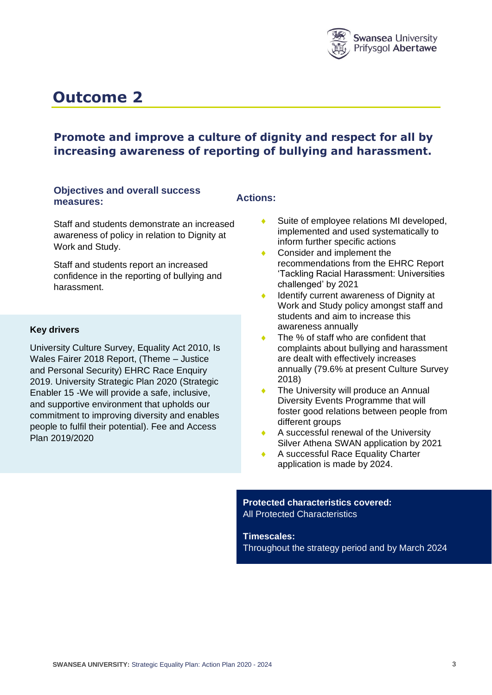

### **Promote and improve a culture of dignity and respect for all by increasing awareness of reporting of bullying and harassment.**

#### **Objectives and overall success measures:**

#### **Actions:**

Staff and students demonstrate an increased awareness of policy in relation to Dignity at Work and Study.

Staff and students report an increased confidence in the reporting of bullying and harassment.

#### **Key drivers**

University Culture Survey, Equality Act 2010, Is Wales Fairer 2018 Report, (Theme – Justice and Personal Security) EHRC Race Enquiry 2019. University Strategic Plan 2020 (Strategic Enabler 15 -We will provide a safe, inclusive, and supportive environment that upholds our commitment to improving diversity and enables people to fulfil their potential). Fee and Access Plan 2019/2020

- Suite of employee relations MI developed, implemented and used systematically to inform further specific actions
- Consider and implement the recommendations from the EHRC Report 'Tackling Racial Harassment: Universities challenged' by 2021
- Identify current awareness of Dignity at Work and Study policy amongst staff and students and aim to increase this awareness annually
- The % of staff who are confident that complaints about bullying and harassment are dealt with effectively increases annually (79.6% at present Culture Survey 2018)
- The University will produce an Annual Diversity Events Programme that will foster good relations between people from different groups
- A successful renewal of the University Silver Athena SWAN application by 2021
- A successful Race Equality Charter application is made by 2024.

#### **Protected characteristics covered:** All Protected Characteristics

**Timescales:**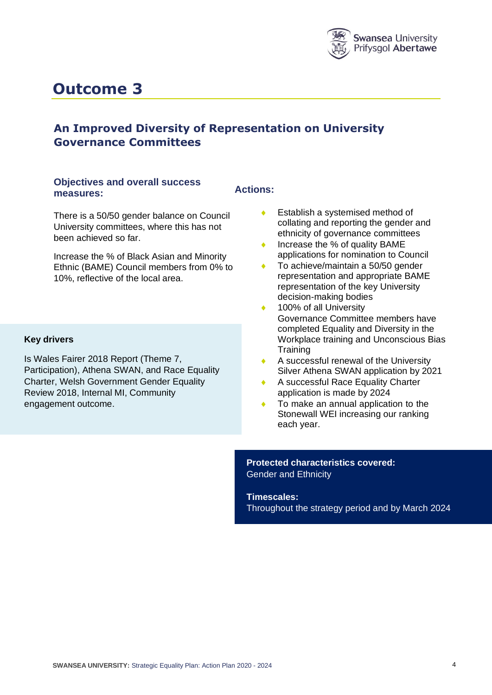

### **An Improved Diversity of Representation on University Governance Committees**

#### **Objectives and overall success measures:**

There is a 50/50 gender balance on Council University committees, where this has not been achieved so far.

Increase the % of Black Asian and Minority Ethnic (BAME) Council members from 0% to 10%, reflective of the local area.

#### **Key drivers**

Is Wales Fairer 2018 Report (Theme 7, Participation), Athena SWAN, and Race Equality Charter, Welsh Government Gender Equality Review 2018, Internal MI, Community engagement outcome.

#### **Actions:**

- ◆ Establish a systemised method of collating and reporting the gender and ethnicity of governance committees
- ◆ Increase the % of quality BAME applications for nomination to Council
- To achieve/maintain a 50/50 gender representation and appropriate BAME representation of the key University decision-making bodies
- ◆ 100% of all University Governance Committee members have completed Equality and Diversity in the Workplace training and Unconscious Bias **Training**
- A successful renewal of the University Silver Athena SWAN application by 2021
- A successful Race Equality Charter application is made by 2024
- To make an annual application to the Stonewall WEI increasing our ranking each year.

**Protected characteristics covered:** Gender and Ethnicity

**Timescales:**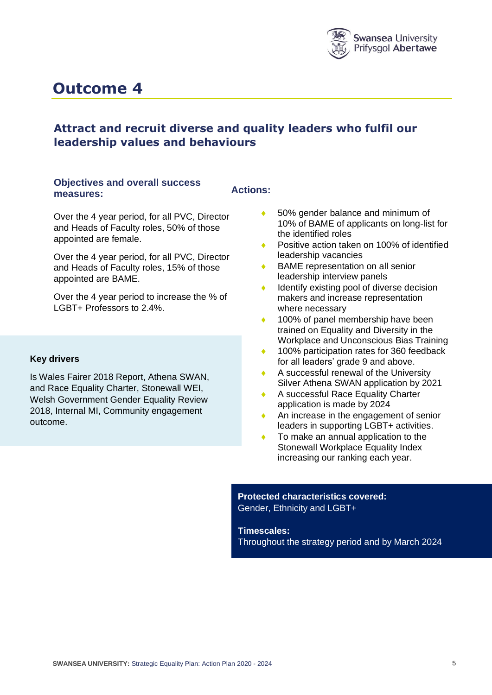

### **Attract and recruit diverse and quality leaders who fulfil our leadership values and behaviours**

#### **Objectives and overall success measures:**

**Actions:**

Over the 4 year period, for all PVC, Director and Heads of Faculty roles, 50% of those appointed are female.

Over the 4 year period, for all PVC, Director and Heads of Faculty roles, 15% of those appointed are BAME.

Over the 4 year period to increase the % of LGBT+ Professors to 2.4%.

#### **Key drivers**

Is Wales Fairer 2018 Report, Athena SWAN, and Race Equality Charter, Stonewall WEI, Welsh Government Gender Equality Review 2018, Internal MI, Community engagement outcome.

- 50% gender balance and minimum of 10% of BAME of applicants on long-list for the identified roles
- ◆ Positive action taken on 100% of identified leadership vacancies
- BAME representation on all senior leadership interview panels
- $\bullet$  Identify existing pool of diverse decision makers and increase representation where necessary
- 100% of panel membership have been trained on Equality and Diversity in the Workplace and Unconscious Bias Training
- ◆ 100% participation rates for 360 feedback for all leaders' grade 9 and above.
- A successful renewal of the University Silver Athena SWAN application by 2021
- A successful Race Equality Charter application is made by 2024
- An increase in the engagement of senior leaders in supporting LGBT+ activities.
- ◆ To make an annual application to the Stonewall Workplace Equality Index increasing our ranking each year.

**Protected characteristics covered:** Gender, Ethnicity and LGBT+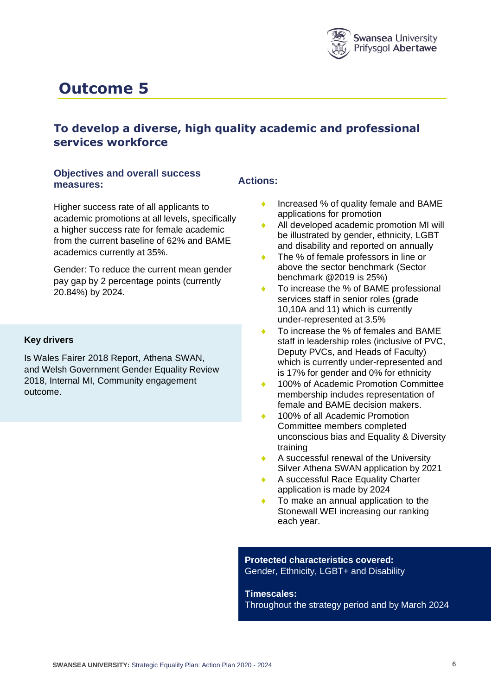

### **To develop a diverse, high quality academic and professional services workforce**

#### **Objectives and overall success measures:**

Higher success rate of all applicants to academic promotions at all levels, specifically a higher success rate for female academic from the current baseline of 62% and BAME academics currently at 35%.

Gender: To reduce the current mean gender pay gap by 2 percentage points (currently 20.84%) by 2024.

#### **Key drivers**

Is Wales Fairer 2018 Report, Athena SWAN, and Welsh Government Gender Equality Review 2018, Internal MI, Community engagement outcome.

#### **Actions:**

- ◆ Increased % of quality female and BAME applications for promotion
- All developed academic promotion MI will be illustrated by gender, ethnicity, LGBT and disability and reported on annually
- ◆ The % of female professors in line or above the sector benchmark (Sector benchmark @2019 is 25%)
- ◆ To increase the % of BAME professional services staff in senior roles (grade 10,10A and 11) which is currently under-represented at 3.5%
- To increase the % of females and BAME staff in leadership roles (inclusive of PVC, Deputy PVCs, and Heads of Faculty) which is currently under-represented and is 17% for gender and 0% for ethnicity
- 100% of Academic Promotion Committee membership includes representation of female and BAME decision makers.
- 100% of all Academic Promotion Committee members completed unconscious bias and Equality & Diversity training
- A successful renewal of the University Silver Athena SWAN application by 2021
- A successful Race Equality Charter application is made by 2024
- To make an annual application to the Stonewall WEI increasing our ranking each year.

#### **Protected characteristics covered:** Gender, Ethnicity, LGBT+ and Disability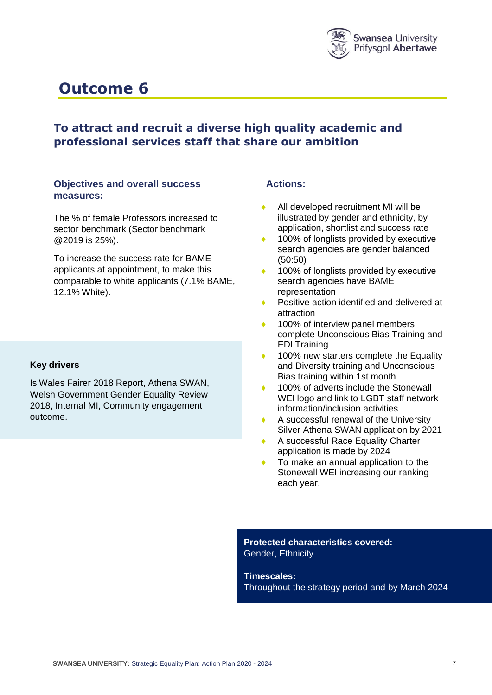

### **To attract and recruit a diverse high quality academic and professional services staff that share our ambition**

#### **Objectives and overall success measures:**

The % of female Professors increased to sector benchmark (Sector benchmark @2019 is 25%).

To increase the success rate for BAME applicants at appointment, to make this comparable to white applicants (7.1% BAME, 12.1% White).

#### **Key drivers**

Is Wales Fairer 2018 Report, Athena SWAN, Welsh Government Gender Equality Review 2018, Internal MI, Community engagement outcome.

#### **Actions:**

- All developed recruitment MI will be illustrated by gender and ethnicity, by application, shortlist and success rate
- 100% of longlists provided by executive search agencies are gender balanced (50:50)
- 100% of longlists provided by executive search agencies have BAME representation
- Positive action identified and delivered at attraction
- 100% of interview panel members complete Unconscious Bias Training and EDI Training
- 100% new starters complete the Equality and Diversity training and Unconscious Bias training within 1st month
- 100% of adverts include the Stonewall WEI logo and link to LGBT staff network information/inclusion activities
- A successful renewal of the University Silver Athena SWAN application by 2021
- A successful Race Equality Charter application is made by 2024
- To make an annual application to the Stonewall WEI increasing our ranking each year.

**Protected characteristics covered:** Gender, Ethnicity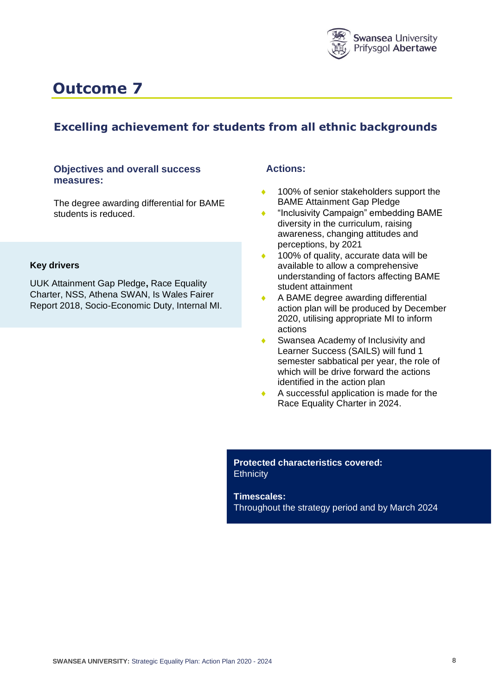

### **Excelling achievement for students from all ethnic backgrounds**

#### **Objectives and overall success measures:**

The degree awarding differential for BAME students is reduced.

#### **Key drivers**

UUK Attainment Gap Pledge**,** Race Equality Charter, NSS, Athena SWAN, Is Wales Fairer Report 2018, Socio-Economic Duty, Internal MI.

#### **Actions:**

- 100% of senior stakeholders support the BAME Attainment Gap Pledge
- "Inclusivity Campaign" embedding BAME diversity in the curriculum, raising awareness, changing attitudes and perceptions, by 2021
- 100% of quality, accurate data will be available to allow a comprehensive understanding of factors affecting BAME student attainment
- A BAME degree awarding differential action plan will be produced by December 2020, utilising appropriate MI to inform actions
- Swansea Academy of Inclusivity and Learner Success (SAILS) will fund 1 semester sabbatical per year, the role of which will be drive forward the actions identified in the action plan
- A successful application is made for the Race Equality Charter in 2024.

**Protected characteristics covered: Ethnicity**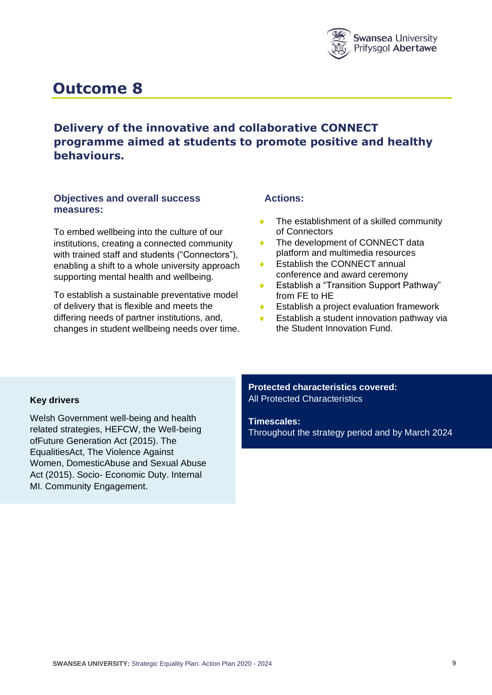

### **Delivery of the innovative and collaborative CONNECT programme aimed at students to promote positive and healthy behaviours.**

#### **Objectives and overall success measures:**

To embed wellbeing into the culture of our institutions, creating a connected community with trained staff and students ("Connectors"), enabling a shift to a whole university approach supporting mental health and wellbeing.

To establish a sustainable preventative model of delivery that is flexible and meets the differing needs of partner institutions, and, changes in student wellbeing needs over time.

#### **Actions:**

- The establishment of a skilled community of Connectors
- ◆ The development of CONNECT data platform and multimedia resources
- Establish the CONNECT annual conference and award ceremony
- Establish a "Transition Support Pathway" from FE to HE
- Establish a project evaluation framework
- Establish a student innovation pathway via the Student Innovation Fund.

#### **Key drivers**

Welsh Government well-being and health related strategies, HEFCW, the Well-being ofFuture Generation Act (2015). The EqualitiesAct, The Violence Against Women, DomesticAbuse and Sexual Abuse Act (2015). Socio- Economic Duty. Internal MI. Community Engagement.

**Protected characteristics covered:** All Protected Characteristics